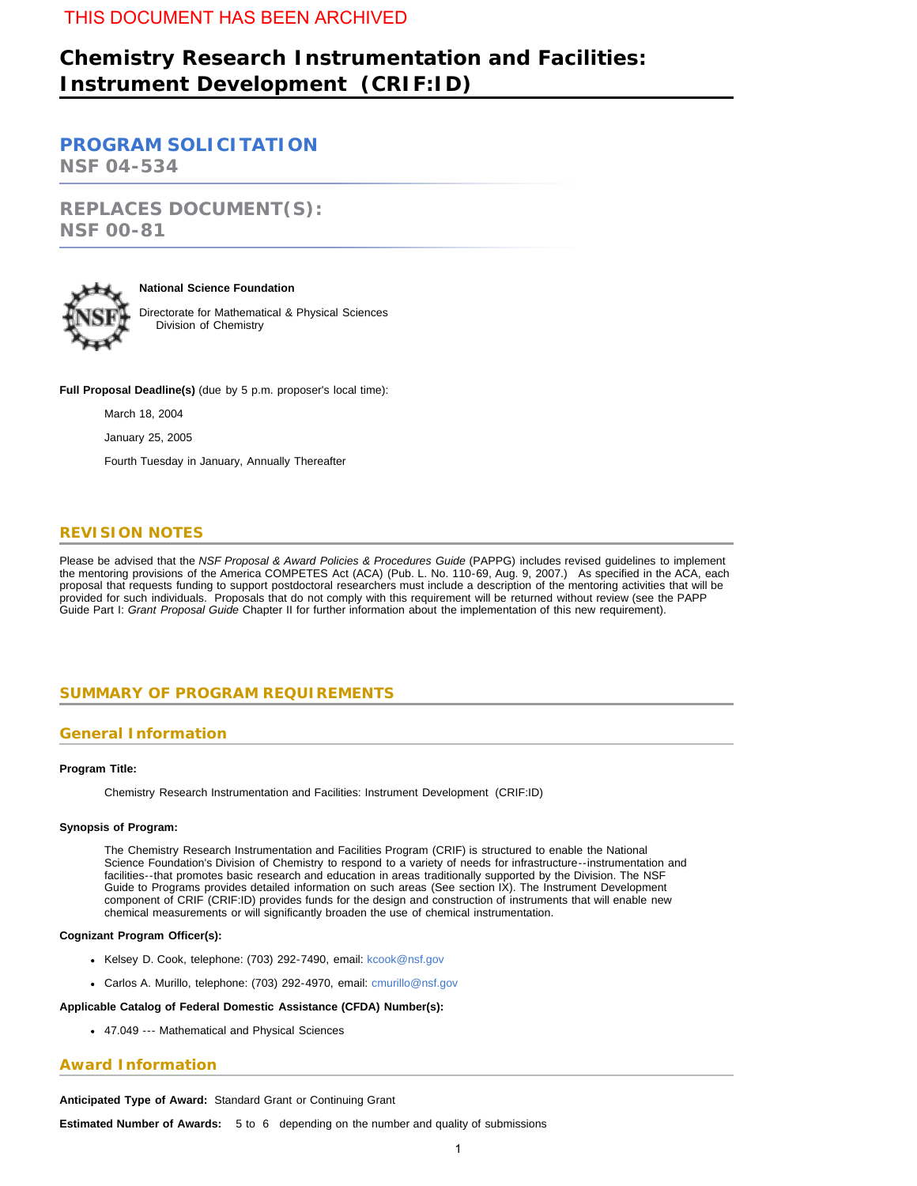# THIS DOCUMENT HAS BEEN ARCHIVED

# **Chemistry Research Instrumentation and Facilities: Instrument Development (CRIF:ID)**

**[PROGRAM SOLICITATION](#page-1-0)**

**NSF 04-534**

*REPLACES DOCUMENT(S):* **NSF 00-81**



**National Science Foundation**

Directorate for Mathematical & Physical Sciences Division of Chemistry

**Full Proposal Deadline(s)** (due by 5 p.m. proposer's local time):

March 18, 2004

January 25, 2005

Fourth Tuesday in January, Annually Thereafter

# **REVISION NOTES**

Please be advised that the *NSF Proposal & Award Policies & Procedures Guide* (PAPPG) includes revised guidelines to implement the mentoring provisions of the America COMPETES Act (ACA) (Pub. L. No. 110-69, Aug. 9, 2007.) As specified in the ACA, each proposal that requests funding to support postdoctoral researchers must include a description of the mentoring activities that will be provided for such individuals. Proposals that do not comply with this requirement will be returned without review (see the PAPP Guide Part I: *Grant Proposal Guide* Chapter II for further information about the implementation of this new requirement).

# <span id="page-0-0"></span>**SUMMARY OF PROGRAM REQUIREMENTS**

# **General Information**

# **Program Title:**

Chemistry Research Instrumentation and Facilities: Instrument Development (CRIF:ID)

# **Synopsis of Program:**

The Chemistry Research Instrumentation and Facilities Program (CRIF) is structured to enable the National Science Foundation's Division of Chemistry to respond to a variety of needs for infrastructure--instrumentation and facilities--that promotes basic research and education in areas traditionally supported by the Division. The NSF Guide to Programs provides detailed information on such areas (See section IX). The Instrument Development component of CRIF (CRIF:ID) provides funds for the design and construction of instruments that will enable new chemical measurements or will significantly broaden the use of chemical instrumentation.

# **Cognizant Program Officer(s):**

- Kelsey D. Cook, telephone: (703) 292-7490, email: [kcook@nsf.gov](mailto:kcook@nsf.gov)
- Carlos A. Murillo, telephone: (703) 292-4970, email: [cmurillo@nsf.gov](mailto:cmurillo@nsf.gov)

# **Applicable Catalog of Federal Domestic Assistance (CFDA) Number(s):**

47.049 --- Mathematical and Physical Sciences

# **Award Information**

**Anticipated Type of Award:** Standard Grant or Continuing Grant

**Estimated Number of Awards:** 5 to 6 depending on the number and quality of submissions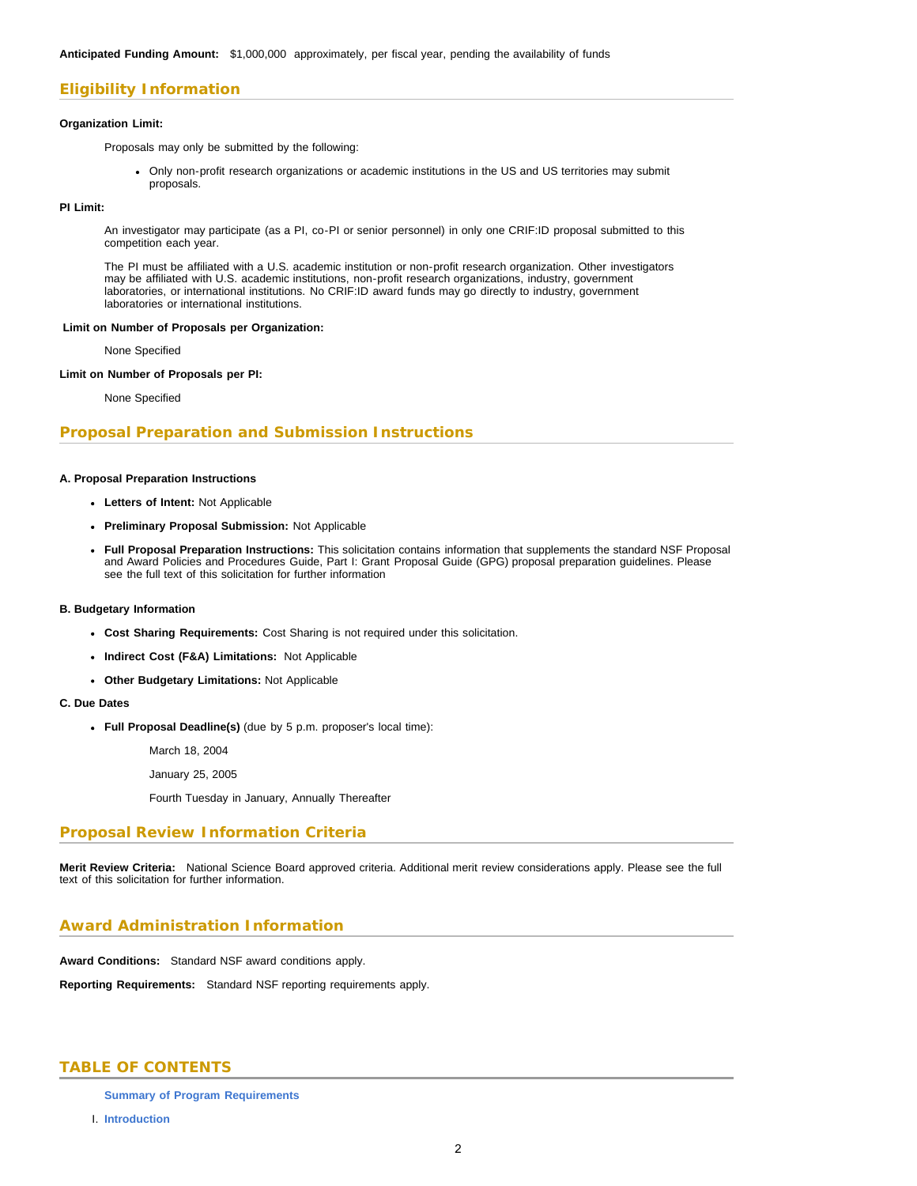# **Eligibility Information**

#### **Organization Limit:**

Proposals may only be submitted by the following:

Only non-profit research organizations or academic institutions in the US and US territories may submit proposals.

#### **PI Limit:**

An investigator may participate (as a PI, co-PI or senior personnel) in only one CRIF:ID proposal submitted to this competition each year.

The PI must be affiliated with a U.S. academic institution or non-profit research organization. Other investigators may be affiliated with U.S. academic institutions, non-profit research organizations, industry, government laboratories, or international institutions. No CRIF:ID award funds may go directly to industry, government laboratories or international institutions.

#### **Limit on Number of Proposals per Organization:**

None Specified

#### **Limit on Number of Proposals per PI:**

None Specified

#### **Proposal Preparation and Submission Instructions**

#### **A. Proposal Preparation Instructions**

- **Letters of Intent:** Not Applicable
- **Preliminary Proposal Submission:** Not Applicable
- **Full Proposal Preparation Instructions:** This solicitation contains information that supplements the standard NSF Proposal and Award Policies and Procedures Guide, Part I: Grant Proposal Guide (GPG) proposal preparation guidelines. Please see the full text of this solicitation for further information

#### **B. Budgetary Information**

- **Cost Sharing Requirements:** Cost Sharing is not required under this solicitation.
- **Indirect Cost (F&A) Limitations:** Not Applicable
- **Other Budgetary Limitations:** Not Applicable

#### **C. Due Dates**

**Full Proposal Deadline(s)** (due by 5 p.m. proposer's local time):

March 18, 2004

January 25, 2005

Fourth Tuesday in January, Annually Thereafter

### **Proposal Review Information Criteria**

**Merit Review Criteria:** National Science Board approved criteria. Additional merit review considerations apply. Please see the full text of this solicitation for further information.

### **Award Administration Information**

**Award Conditions:** Standard NSF award conditions apply.

<span id="page-1-0"></span>**Reporting Requirements:** Standard NSF reporting requirements apply.

### **TABLE OF CONTENTS**

**[Summary of Program Requirements](#page-0-0)**

I. **[Introduction](#page-2-0)**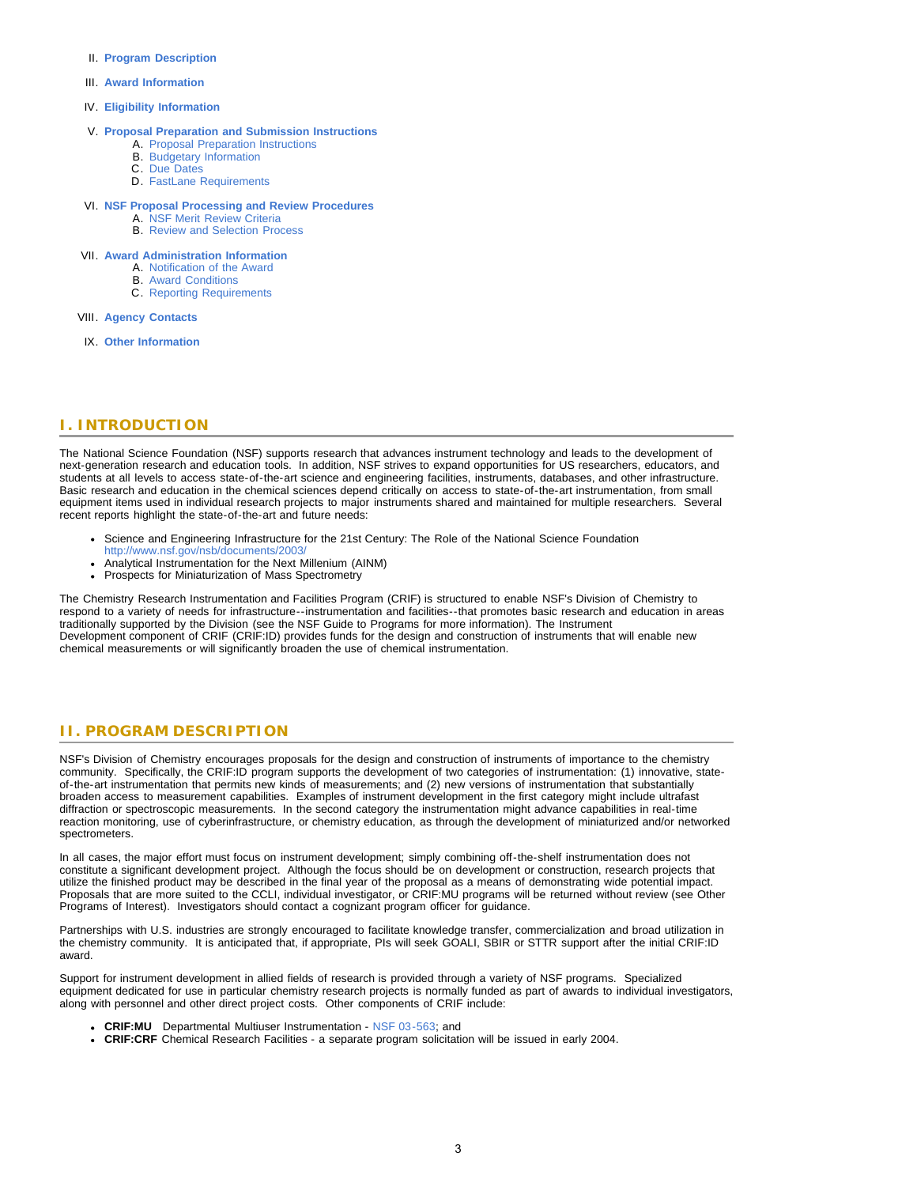- II. **[Program Description](#page-2-1)**
- III. **[Award Information](#page-2-2)**
- IV. **[Eligibility Information](#page-3-0)**

### V. **[Proposal Preparation and Submission Instructions](#page-3-1)**

- A. [Proposal Preparation Instructions](#page-3-1)
- B. [Budgetary Information](#page-4-0)
- C. [Due Dates](#page-4-1)
- D. [FastLane Requirements](#page-4-2)

### VI. **[NSF Proposal Processing and Review Procedures](#page-4-3)**

- A. [NSF Merit Review Criteria](#page-4-4)
- B. [Review and Selection Process](#page-5-0)

### VII. **[Award Administration Information](#page-6-0)**

- A. [Notification of the Award](#page-6-1)
- B. [Award Conditions](#page-6-2)
- C. [Reporting Requirements](#page-6-3)

# VIII. **[Agency Contacts](#page-6-4)**

IX. **[Other Information](#page-6-5)**

# <span id="page-2-0"></span>**I. INTRODUCTION**

The National Science Foundation (NSF) supports research that advances instrument technology and leads to the development of next-generation research and education tools. In addition, NSF strives to expand opportunities for US researchers, educators, and students at all levels to access state-of-the-art science and engineering facilities, instruments, databases, and other infrastructure. Basic research and education in the chemical sciences depend critically on access to state-of-the-art instrumentation, from small equipment items used in individual research projects to major instruments shared and maintained for multiple researchers. Several recent reports highlight the state-of-the-art and future needs:

- Science and Engineering Infrastructure for the 21st Century: The Role of the National Science Foundation <http://www.nsf.gov/nsb/documents/2003/>
- Analytical Instrumentation for the Next Millenium (AINM)
- Prospects for Miniaturization of Mass Spectrometry

The Chemistry Research Instrumentation and Facilities Program (CRIF) is structured to enable NSF's Division of Chemistry to respond to a variety of needs for infrastructure--instrumentation and facilities--that promotes basic research and education in areas traditionally supported by the Division (see the NSF Guide to Programs for more information). The Instrument Development component of CRIF (CRIF:ID) provides funds for the design and construction of instruments that will enable new chemical measurements or will significantly broaden the use of chemical instrumentation.

# <span id="page-2-1"></span>**II. PROGRAM DESCRIPTION**

NSF's Division of Chemistry encourages proposals for the design and construction of instruments of importance to the chemistry community. Specifically, the CRIF:ID program supports the development of two categories of instrumentation: (1) innovative, stateof-the-art instrumentation that permits new kinds of measurements; and (2) new versions of instrumentation that substantially broaden access to measurement capabilities. Examples of instrument development in the first category might include ultrafast diffraction or spectroscopic measurements. In the second category the instrumentation might advance capabilities in real-time reaction monitoring, use of cyberinfrastructure, or chemistry education, as through the development of miniaturized and/or networked spectrometers.

In all cases, the major effort must focus on instrument development; simply combining off-the-shelf instrumentation does not constitute a significant development project. Although the focus should be on development or construction, research projects that utilize the finished product may be described in the final year of the proposal as a means of demonstrating wide potential impact. Proposals that are more suited to the CCLI, individual investigator, or CRIF:MU programs will be returned without review (see Other Programs of Interest). Investigators should contact a cognizant program officer for guidance.

Partnerships with U.S. industries are strongly encouraged to facilitate knowledge transfer, commercialization and broad utilization in the chemistry community. It is anticipated that, if appropriate, PIs will seek GOALI, SBIR or STTR support after the initial CRIF:ID award.

Support for instrument development in allied fields of research is provided through a variety of NSF programs. Specialized equipment dedicated for use in particular chemistry research projects is normally funded as part of awards to individual investigators, along with personnel and other direct project costs. Other components of CRIF include:

- **CRIF:MU** Departmental Multiuser Instrumentation [NSF 03-563](http://www.nsf.gov/publications/pub_summ.jsp?ods_key=nsf03563); and
- <span id="page-2-2"></span>**CRIF:CRF** Chemical Research Facilities - a separate program solicitation will be issued in early 2004.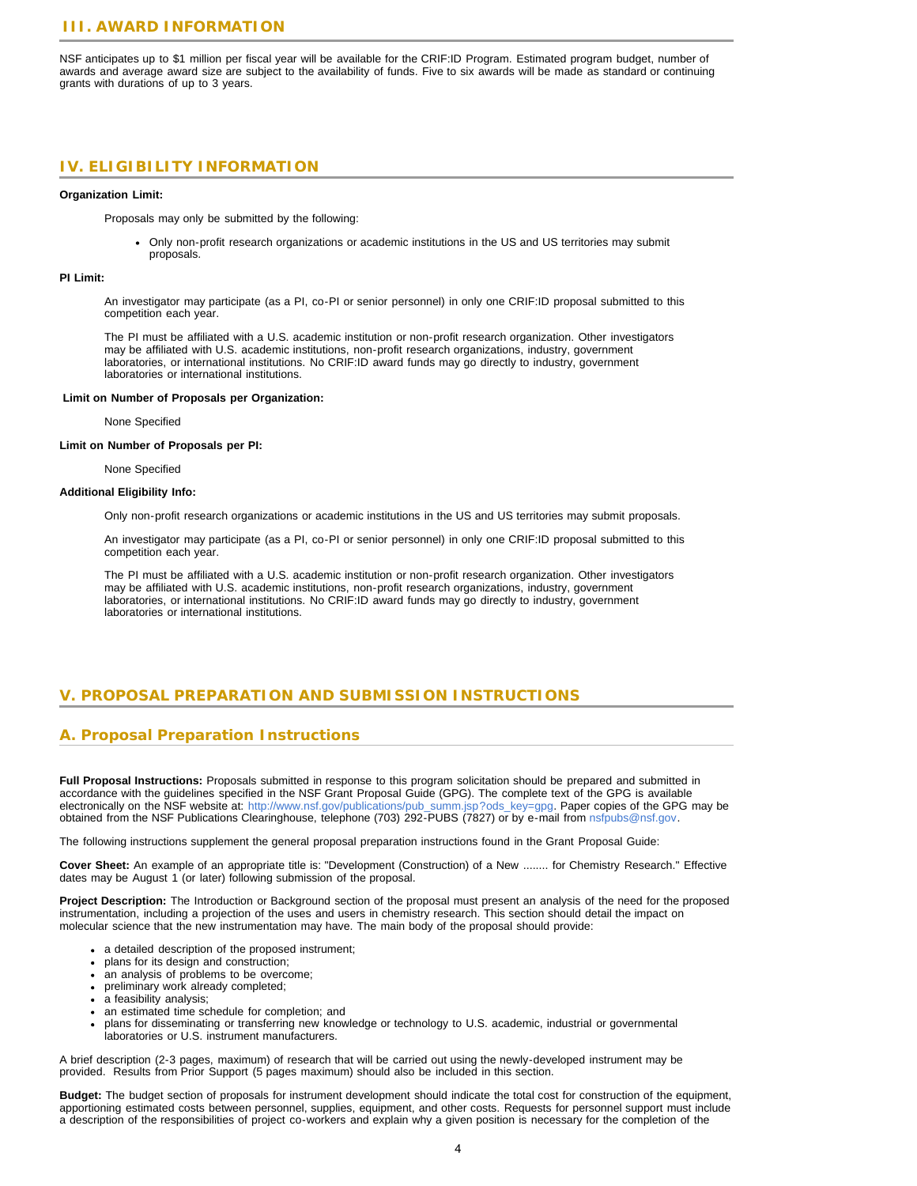### **III. AWARD INFORMATION**

<span id="page-3-0"></span>NSF anticipates up to \$1 million per fiscal year will be available for the CRIF:ID Program. Estimated program budget, number of awards and average award size are subject to the availability of funds. Five to six awards will be made as standard or continuing grants with durations of up to 3 years.

### **IV. ELIGIBILITY INFORMATION**

#### **Organization Limit:**

Proposals may only be submitted by the following:

Only non-profit research organizations or academic institutions in the US and US territories may submit proposals.

#### **PI Limit:**

An investigator may participate (as a PI, co-PI or senior personnel) in only one CRIF:ID proposal submitted to this competition each year.

The PI must be affiliated with a U.S. academic institution or non-profit research organization. Other investigators may be affiliated with U.S. academic institutions, non-profit research organizations, industry, government laboratories, or international institutions. No CRIF:ID award funds may go directly to industry, government laboratories or international institutions.

#### **Limit on Number of Proposals per Organization:**

None Specified

**Limit on Number of Proposals per PI:**

None Specified

#### **Additional Eligibility Info:**

Only non-profit research organizations or academic institutions in the US and US territories may submit proposals.

An investigator may participate (as a PI, co-PI or senior personnel) in only one CRIF:ID proposal submitted to this competition each year.

The PI must be affiliated with a U.S. academic institution or non-profit research organization. Other investigators may be affiliated with U.S. academic institutions, non-profit research organizations, industry, government laboratories, or international institutions. No CRIF:ID award funds may go directly to industry, government laboratories or international institutions.

# <span id="page-3-1"></span>**V. PROPOSAL PREPARATION AND SUBMISSION INSTRUCTIONS**

# **A. Proposal Preparation Instructions**

**Full Proposal Instructions:** Proposals submitted in response to this program solicitation should be prepared and submitted in accordance with the guidelines specified in the NSF Grant Proposal Guide (GPG). The complete text of the GPG is available electronically on the NSF website at: [http://www.nsf.gov/publications/pub\\_summ.jsp?ods\\_key=gpg.](http://www.nsf.gov/publications/pub_summ.jsp?ods_key=gpg) Paper copies of the GPG may be obtained from the NSF Publications Clearinghouse, telephone (703) 292-PUBS (7827) or by e-mail from [nsfpubs@nsf.gov.](mailto:nsfpubs@nsf.gov)

The following instructions supplement the general proposal preparation instructions found in the Grant Proposal Guide:

**Cover Sheet:** An example of an appropriate title is: "Development (Construction) of a New ........ for Chemistry Research." Effective dates may be August 1 (or later) following submission of the proposal.

**Project Description:** The Introduction or Background section of the proposal must present an analysis of the need for the proposed instrumentation, including a projection of the uses and users in chemistry research. This section should detail the impact on molecular science that the new instrumentation may have. The main body of the proposal should provide:

- a detailed description of the proposed instrument;
- plans for its design and construction;
- an analysis of problems to be overcome;
- preliminary work already completed;
- a feasibility analysis;
- an estimated time schedule for completion; and
- plans for disseminating or transferring new knowledge or technology to U.S. academic, industrial or governmental laboratories or U.S. instrument manufacturers.

A brief description (2-3 pages, maximum) of research that will be carried out using the newly-developed instrument may be provided. Results from Prior Support (5 pages maximum) should also be included in this section.

**Budget:** The budget section of proposals for instrument development should indicate the total cost for construction of the equipment, apportioning estimated costs between personnel, supplies, equipment, and other costs. Requests for personnel support must include a description of the responsibilities of project co-workers and explain why a given position is necessary for the completion of the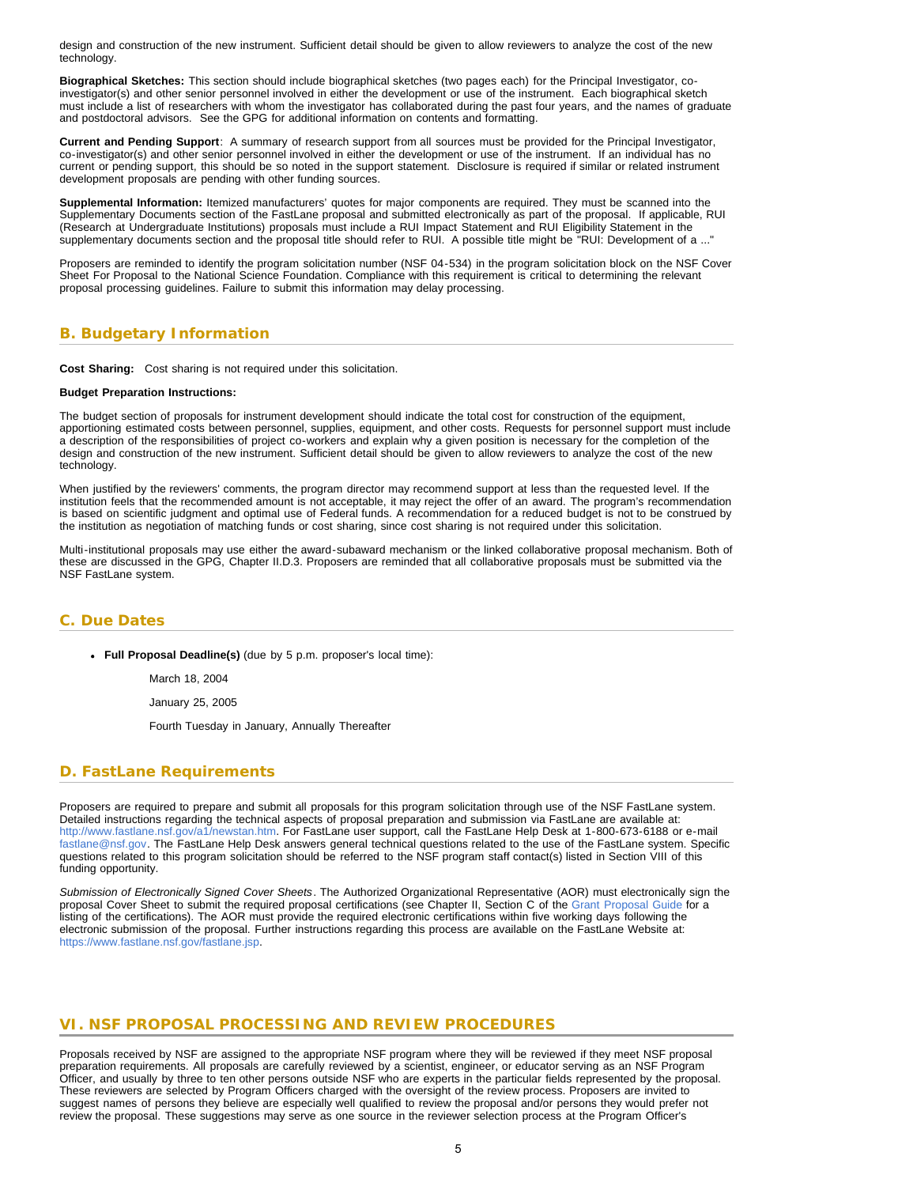design and construction of the new instrument. Sufficient detail should be given to allow reviewers to analyze the cost of the new technology.

**Biographical Sketches:** This section should include biographical sketches (two pages each) for the Principal Investigator, coinvestigator(s) and other senior personnel involved in either the development or use of the instrument. Each biographical sketch must include a list of researchers with whom the investigator has collaborated during the past four years, and the names of graduate and postdoctoral advisors. See the GPG for additional information on contents and formatting.

**Current and Pending Support**: A summary of research support from all sources must be provided for the Principal Investigator, co-investigator(s) and other senior personnel involved in either the development or use of the instrument. If an individual has no current or pending support, this should be so noted in the support statement. Disclosure is required if similar or related instrument development proposals are pending with other funding sources.

**Supplemental Information:** Itemized manufacturers' quotes for major components are required. They must be scanned into the Supplementary Documents section of the FastLane proposal and submitted electronically as part of the proposal. If applicable, RUI (Research at Undergraduate Institutions) proposals must include a RUI Impact Statement and RUI Eligibility Statement in the supplementary documents section and the proposal title should refer to RUI. A possible title might be "RUI: Development of a ..."

Proposers are reminded to identify the program solicitation number (NSF 04-534) in the program solicitation block on the NSF Cover Sheet For Proposal to the National Science Foundation. Compliance with this requirement is critical to determining the relevant proposal processing guidelines. Failure to submit this information may delay processing.

# <span id="page-4-0"></span>**B. Budgetary Information**

**Cost Sharing:** Cost sharing is not required under this solicitation.

#### **Budget Preparation Instructions:**

The budget section of proposals for instrument development should indicate the total cost for construction of the equipment, apportioning estimated costs between personnel, supplies, equipment, and other costs. Requests for personnel support must include a description of the responsibilities of project co-workers and explain why a given position is necessary for the completion of the design and construction of the new instrument. Sufficient detail should be given to allow reviewers to analyze the cost of the new technology.

When justified by the reviewers' comments, the program director may recommend support at less than the requested level. If the institution feels that the recommended amount is not acceptable, it may reject the offer of an award. The program's recommendation is based on scientific judgment and optimal use of Federal funds. A recommendation for a reduced budget is not to be construed by the institution as negotiation of matching funds or cost sharing, since cost sharing is not required under this solicitation.

Multi-institutional proposals may use either the award-subaward mechanism or the linked collaborative proposal mechanism. Both of these are discussed in the GPG, Chapter II.D.3. Proposers are reminded that all collaborative proposals must be submitted via the NSF FastLane system.

# <span id="page-4-1"></span>**C. Due Dates**

**Full Proposal Deadline(s)** (due by 5 p.m. proposer's local time):

March 18, 2004

January 25, 2005

Fourth Tuesday in January, Annually Thereafter

# <span id="page-4-2"></span>**D. FastLane Requirements**

Proposers are required to prepare and submit all proposals for this program solicitation through use of the NSF FastLane system. Detailed instructions regarding the technical aspects of proposal preparation and submission via FastLane are available at: [http://www.fastlane.nsf.gov/a1/newstan.htm.](http://www.fastlane.nsf.gov/a1/newstan.htm) For FastLane user support, call the FastLane Help Desk at 1-800-673-6188 or [e-](mailto:e-mailfastlane@nsf.gov)mail [fastlane@nsf.gov.](mailto:fastlane@nsf.gov) The FastLane Help Desk answers general technical questions related to the use of the FastLane system. Specific questions related to this program solicitation should be referred to the NSF program staff contact(s) listed in Section VIII of this funding opportunity.

*Submission of Electronically Signed Cover Sheets*. The Authorized Organizational Representative (AOR) must electronically sign the proposal Cover Sheet to submit the required proposal certifications (see Chapter II, Section C of the [Grant Proposal Guide](http://www.nsf.gov/publications/pub_summ.jsp?ods_key=gpg) for a listing of the certifications). The AOR must provide the required electronic certifications within five working days following the electronic submission of the proposal. Further instructions regarding this process are available on the FastLane Website at: [https://www.fastlane.nsf.gov/fastlane.jsp.](https://www.fastlane.nsf.gov/fastlane.jsp)

# <span id="page-4-3"></span>**VI. NSF PROPOSAL PROCESSING AND REVIEW PROCEDURES**

<span id="page-4-4"></span>Proposals received by NSF are assigned to the appropriate NSF program where they will be reviewed if they meet NSF proposal preparation requirements. All proposals are carefully reviewed by a scientist, engineer, or educator serving as an NSF Program Officer, and usually by three to ten other persons outside NSF who are experts in the particular fields represented by the proposal. These reviewers are selected by Program Officers charged with the oversight of the review process. Proposers are invited to suggest names of persons they believe are especially well qualified to review the proposal and/or persons they would prefer not review the proposal. These suggestions may serve as one source in the reviewer selection process at the Program Officer's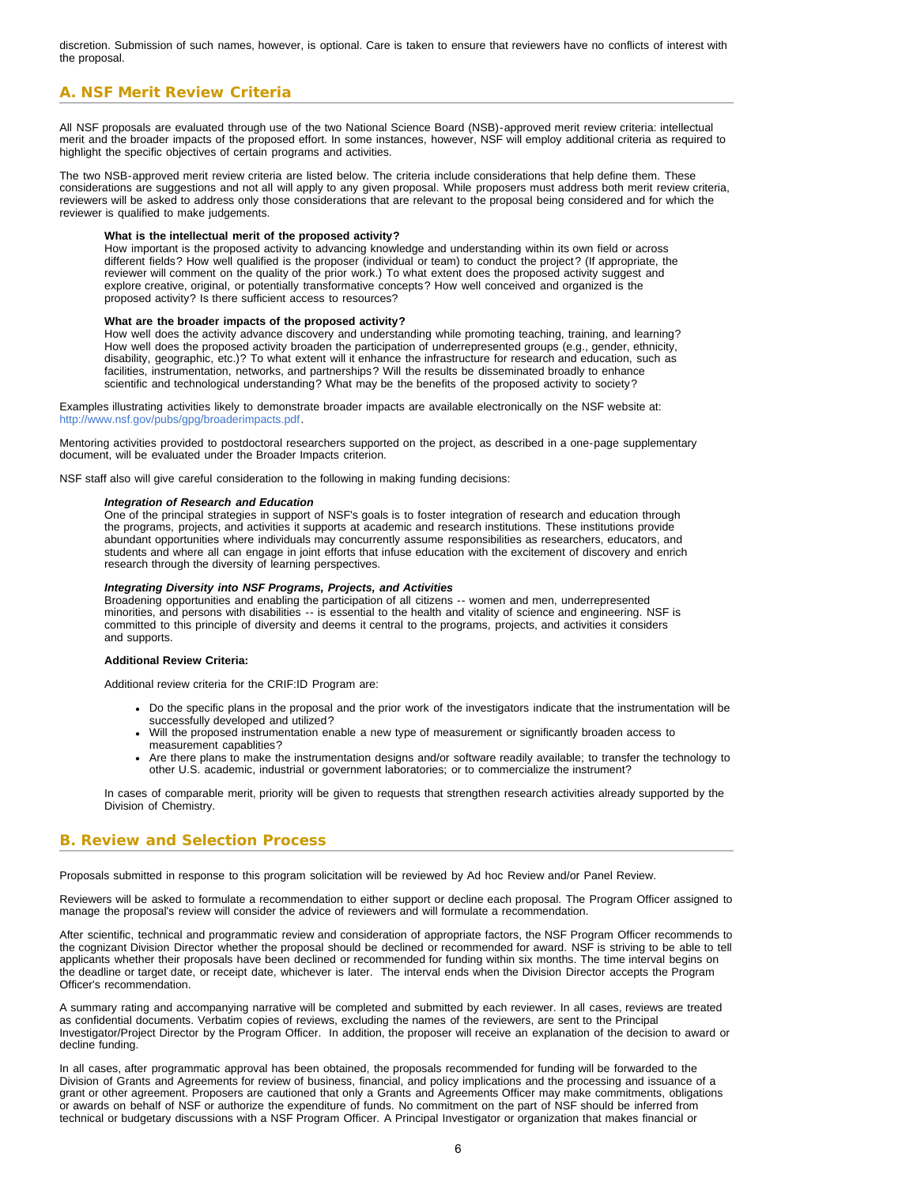discretion. Submission of such names, however, is optional. Care is taken to ensure that reviewers have no conflicts of interest with the proposal.

# **A. NSF Merit Review Criteria**

All NSF proposals are evaluated through use of the two National Science Board (NSB)-approved merit review criteria: intellectual merit and the broader impacts of the proposed effort. In some instances, however, NSF will employ additional criteria as required to highlight the specific objectives of certain programs and activities.

The two NSB-approved merit review criteria are listed below. The criteria include considerations that help define them. These considerations are suggestions and not all will apply to any given proposal. While proposers must address both merit review criteria, reviewers will be asked to address only those considerations that are relevant to the proposal being considered and for which the reviewer is qualified to make judgements.

#### **What is the intellectual merit of the proposed activity?**

How important is the proposed activity to advancing knowledge and understanding within its own field or across different fields? How well qualified is the proposer (individual or team) to conduct the project? (If appropriate, the reviewer will comment on the quality of the prior work.) To what extent does the proposed activity suggest and explore creative, original, or potentially transformative concepts? How well conceived and organized is the proposed activity? Is there sufficient access to resources?

#### **What are the broader impacts of the proposed activity?**

How well does the activity advance discovery and understanding while promoting teaching, training, and learning? How well does the proposed activity broaden the participation of underrepresented groups (e.g., gender, ethnicity, disability, geographic, etc.)? To what extent will it enhance the infrastructure for research and education, such as facilities, instrumentation, networks, and partnerships? Will the results be disseminated broadly to enhance scientific and technological understanding? What may be the benefits of the proposed activity to society?

Examples illustrating activities likely to demonstrate broader impacts are available electronically on the NSF website at: <http://www.nsf.gov/pubs/gpg/broaderimpacts.pdf>.

Mentoring activities provided to postdoctoral researchers supported on the project, as described in a one-page supplementary document, will be evaluated under the Broader Impacts criterion.

NSF staff also will give careful consideration to the following in making funding decisions:

#### *Integration of Research and Education*

One of the principal strategies in support of NSF's goals is to foster integration of research and education through the programs, projects, and activities it supports at academic and research institutions. These institutions provide abundant opportunities where individuals may concurrently assume responsibilities as researchers, educators, and students and where all can engage in joint efforts that infuse education with the excitement of discovery and enrich research through the diversity of learning perspectives.

### *Integrating Diversity into NSF Programs, Projects, and Activities*

Broadening opportunities and enabling the participation of all citizens -- women and men, underrepresented minorities, and persons with disabilities -- is essential to the health and vitality of science and engineering. NSF is committed to this principle of diversity and deems it central to the programs, projects, and activities it considers and supports.

#### **Additional Review Criteria:**

Additional review criteria for the CRIF:ID Program are:

- Do the specific plans in the proposal and the prior work of the investigators indicate that the instrumentation will be successfully developed and utilized?
- Will the proposed instrumentation enable a new type of measurement or significantly broaden access to measurement capablities?
- Are there plans to make the instrumentation designs and/or software readily available; to transfer the technology to other U.S. academic, industrial or government laboratories; or to commercialize the instrument?

In cases of comparable merit, priority will be given to requests that strengthen research activities already supported by the Division of Chemistry.

# <span id="page-5-0"></span>**B. Review and Selection Process**

Proposals submitted in response to this program solicitation will be reviewed by Ad hoc Review and/or Panel Review.

Reviewers will be asked to formulate a recommendation to either support or decline each proposal. The Program Officer assigned to manage the proposal's review will consider the advice of reviewers and will formulate a recommendation.

After scientific, technical and programmatic review and consideration of appropriate factors, the NSF Program Officer recommends to the cognizant Division Director whether the proposal should be declined or recommended for award. NSF is striving to be able to tell applicants whether their proposals have been declined or recommended for funding within six months. The time interval begins on the deadline or target date, or receipt date, whichever is later. The interval ends when the Division Director accepts the Program Officer's recommendation.

A summary rating and accompanying narrative will be completed and submitted by each reviewer. In all cases, reviews are treated as confidential documents. Verbatim copies of reviews, excluding the names of the reviewers, are sent to the Principal Investigator/Project Director by the Program Officer. In addition, the proposer will receive an explanation of the decision to award or decline funding.

In all cases, after programmatic approval has been obtained, the proposals recommended for funding will be forwarded to the Division of Grants and Agreements for review of business, financial, and policy implications and the processing and issuance of a grant or other agreement. Proposers are cautioned that only a Grants and Agreements Officer may make commitments, obligations or awards on behalf of NSF or authorize the expenditure of funds. No commitment on the part of NSF should be inferred from technical or budgetary discussions with a NSF Program Officer. A Principal Investigator or organization that makes financial or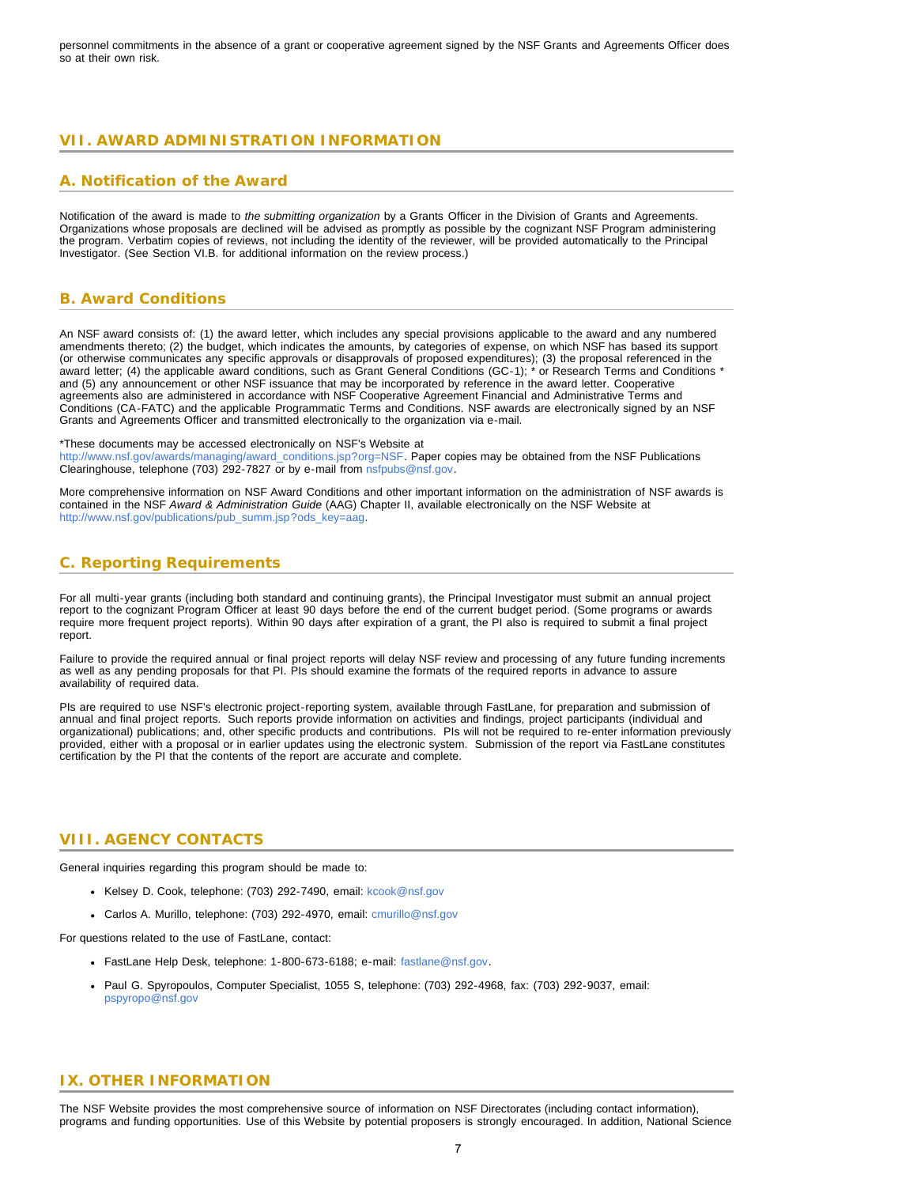<span id="page-6-0"></span>personnel commitments in the absence of a grant or cooperative agreement signed by the NSF Grants and Agreements Officer does so at their own risk.

# **VII. AWARD ADMINISTRATION INFORMATION**

# <span id="page-6-1"></span>**A. Notification of the Award**

Notification of the award is made to *the submitting organization* by a Grants Officer in the Division of Grants and Agreements. Organizations whose proposals are declined will be advised as promptly as possible by the cognizant NSF Program administering the program. Verbatim copies of reviews, not including the identity of the reviewer, will be provided automatically to the Principal Investigator. (See Section VI.B. for additional information on the review process.)

# <span id="page-6-2"></span>**B. Award Conditions**

An NSF award consists of: (1) the award letter, which includes any special provisions applicable to the award and any numbered amendments thereto; (2) the budget, which indicates the amounts, by categories of expense, on which NSF has based its support (or otherwise communicates any specific approvals or disapprovals of proposed expenditures); (3) the proposal referenced in the award letter; (4) the applicable award conditions, such as Grant General Conditions (GC-1); \* or Research Terms and Conditions \* and (5) any announcement or other NSF issuance that may be incorporated by reference in the award letter. Cooperative agreements also are administered in accordance with NSF Cooperative Agreement Financial and Administrative Terms and Conditions (CA-FATC) and the applicable Programmatic Terms and Conditions. NSF awards are electronically signed by an NSF Grants and Agreements Officer and transmitted electronically to the organization via e-mail.

\*These documents may be accessed electronically on NSF's Website at

[http://www.nsf.gov/awards/managing/award\\_conditions.jsp?org=NSF](http://www.nsf.gov/awards/managing/award_conditions.jsp?org=NSF). Paper copies may be obtained from the NSF Publications Clearinghouse, telephone (703) 292-7827 or by e-mail from [nsfpubs@nsf.gov.](mailto:nsfpubs@nsf.gov)

More comprehensive information on NSF Award Conditions and other important information on the administration of NSF awards is contained in the NSF *Award & Administration Guide* (AAG) Chapter II, available electronically on the NSF Website at [http://www.nsf.gov/publications/pub\\_summ.jsp?ods\\_key=aag.](http://www.nsf.gov/publications/pub_summ.jsp?ods_key=aag)

# <span id="page-6-3"></span>**C. Reporting Requirements**

For all multi-year grants (including both standard and continuing grants), the Principal Investigator must submit an annual project report to the cognizant Program Officer at least 90 days before the end of the current budget period. (Some programs or awards require more frequent project reports). Within 90 days after expiration of a grant, the PI also is required to submit a final project report.

Failure to provide the required annual or final project reports will delay NSF review and processing of any future funding increments as well as any pending proposals for that PI. PIs should examine the formats of the required reports in advance to assure availability of required data.

PIs are required to use NSF's electronic project-reporting system, available through FastLane, for preparation and submission of annual and final project reports. Such reports provide information on activities and findings, project participants (individual and organizational) publications; and, other specific products and contributions. PIs will not be required to re-enter information previously provided, either with a proposal or in earlier updates using the electronic system. Submission of the report via FastLane constitutes certification by the PI that the contents of the report are accurate and complete.

# <span id="page-6-4"></span>**VIII. AGENCY CONTACTS**

General inquiries regarding this program should be made to:

- Kelsey D. Cook, telephone: (703) 292-7490, email: [kcook@nsf.gov](mailto:kcook@nsf.gov)
- Carlos A. Murillo, telephone: (703) 292-4970, email: [cmurillo@nsf.gov](mailto:cmurillo@nsf.gov)

For questions related to the use of FastLane, contact:

- FastLane Help Desk, telephone: 1-800-673-6188; e-mail: [fastlane@nsf.gov.](mailto:fastlane@nsf.gov)
- Paul G. Spyropoulos, Computer Specialist, 1055 S, telephone: (703) 292-4968, fax: (703) 292-9037, email: [pspyropo@nsf.gov](mailto:pspyropo@nsf.gov)

### <span id="page-6-5"></span>**IX. OTHER INFORMATION**

The NSF Website provides the most comprehensive source of information on NSF Directorates (including contact information), programs and funding opportunities. Use of this Website by potential proposers is strongly encouraged. In addition, National Science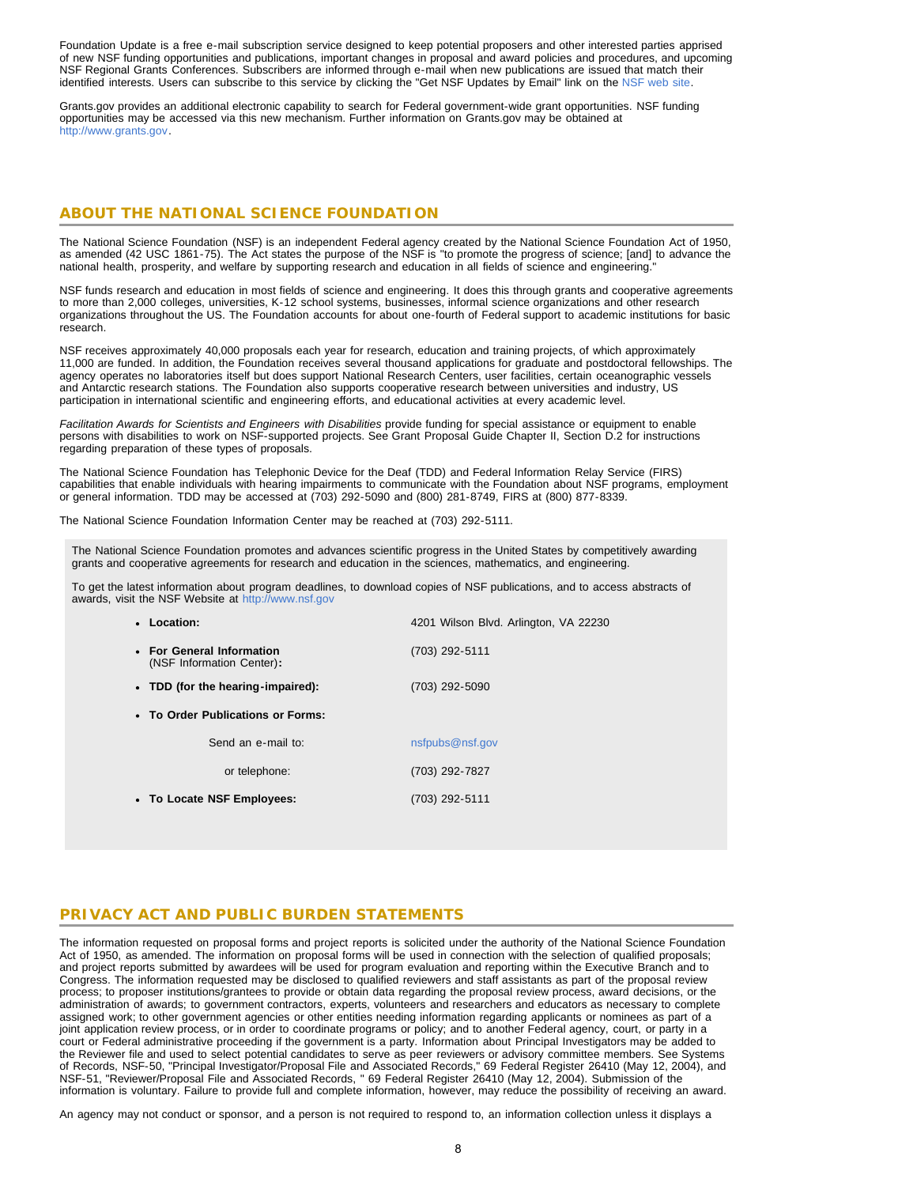Foundation Update is a free e-mail subscription service designed to keep potential proposers and other interested parties apprised of new NSF funding opportunities and publications, important changes in proposal and award policies and procedures, and upcoming NSF Regional Grants Conferences. Subscribers are informed through e-mail when new publications are issued that match their identified interests. Users can subscribe to this service by clicking the "Get NSF Updates by Email" link on the [NSF web site.](http://www.nsf.gov/)

Grants.gov provides an additional electronic capability to search for Federal government-wide grant opportunities. NSF funding opportunities may be accessed via this new mechanism. Further information on Grants.gov may be obtained at [http://www.grants.gov.](http://www.grants.gov/)

# **ABOUT THE NATIONAL SCIENCE FOUNDATION**

The National Science Foundation (NSF) is an independent Federal agency created by the National Science Foundation Act of 1950, as amended (42 USC 1861-75). The Act states the purpose of the NSF is "to promote the progress of science; [and] to advance the national health, prosperity, and welfare by supporting research and education in all fields of science and engineering."

NSF funds research and education in most fields of science and engineering. It does this through grants and cooperative agreements to more than 2,000 colleges, universities, K-12 school systems, businesses, informal science organizations and other research organizations throughout the US. The Foundation accounts for about one-fourth of Federal support to academic institutions for basic research.

NSF receives approximately 40,000 proposals each year for research, education and training projects, of which approximately 11,000 are funded. In addition, the Foundation receives several thousand applications for graduate and postdoctoral fellowships. The agency operates no laboratories itself but does support National Research Centers, user facilities, certain oceanographic vessels and Antarctic research stations. The Foundation also supports cooperative research between universities and industry, US participation in international scientific and engineering efforts, and educational activities at every academic level.

*Facilitation Awards for Scientists and Engineers with Disabilities* provide funding for special assistance or equipment to enable persons with disabilities to work on NSF-supported projects. See Grant Proposal Guide Chapter II, Section D.2 for instructions regarding preparation of these types of proposals.

The National Science Foundation has Telephonic Device for the Deaf (TDD) and Federal Information Relay Service (FIRS) capabilities that enable individuals with hearing impairments to communicate with the Foundation about NSF programs, employment or general information. TDD may be accessed at (703) 292-5090 and (800) 281-8749, FIRS at (800) 877-8339.

The National Science Foundation Information Center may be reached at (703) 292-5111.

The National Science Foundation promotes and advances scientific progress in the United States by competitively awarding grants and cooperative agreements for research and education in the sciences, mathematics, and engineering.

To get the latest information about program deadlines, to download copies of NSF publications, and to access abstracts of awards, visit the NSF Website at [http://www.nsf.gov](http://www.nsf.gov/)

| Location:<br>$\bullet$                                 | 4201 Wilson Blvd. Arlington, VA 22230 |  |  |  |  |  |  |  |
|--------------------------------------------------------|---------------------------------------|--|--|--|--|--|--|--|
| • For General Information<br>(NSF Information Center): | (703) 292-5111                        |  |  |  |  |  |  |  |
| • TDD (for the hearing-impaired):                      | (703) 292-5090                        |  |  |  |  |  |  |  |
| • To Order Publications or Forms:                      |                                       |  |  |  |  |  |  |  |
| Send an e-mail to:                                     | nsfpubs@nsf.gov                       |  |  |  |  |  |  |  |
| or telephone:                                          | (703) 292-7827                        |  |  |  |  |  |  |  |
| • To Locate NSF Employees:                             | (703) 292-5111                        |  |  |  |  |  |  |  |
|                                                        |                                       |  |  |  |  |  |  |  |

# **PRIVACY ACT AND PUBLIC BURDEN STATEMENTS**

The information requested on proposal forms and project reports is solicited under the authority of the National Science Foundation Act of 1950, as amended. The information on proposal forms will be used in connection with the selection of qualified proposals; and project reports submitted by awardees will be used for program evaluation and reporting within the Executive Branch and to Congress. The information requested may be disclosed to qualified reviewers and staff assistants as part of the proposal review process; to proposer institutions/grantees to provide or obtain data regarding the proposal review process, award decisions, or the administration of awards; to government contractors, experts, volunteers and researchers and educators as necessary to complete assigned work; to other government agencies or other entities needing information regarding applicants or nominees as part of a joint application review process, or in order to coordinate programs or policy; and to another Federal agency, court, or party in a court or Federal administrative proceeding if the government is a party. Information about Principal Investigators may be added to the Reviewer file and used to select potential candidates to serve as peer reviewers or advisory committee members. See Systems of Records, NSF-50, "Principal Investigator/Proposal File and Associated Records," 69 Federal Register 26410 (May 12, 2004), and NSF-51, "Reviewer/Proposal File and Associated Records, " 69 Federal Register 26410 (May 12, 2004). Submission of the information is voluntary. Failure to provide full and complete information, however, may reduce the possibility of receiving an award.

An agency may not conduct or sponsor, and a person is not required to respond to, an information collection unless it displays a